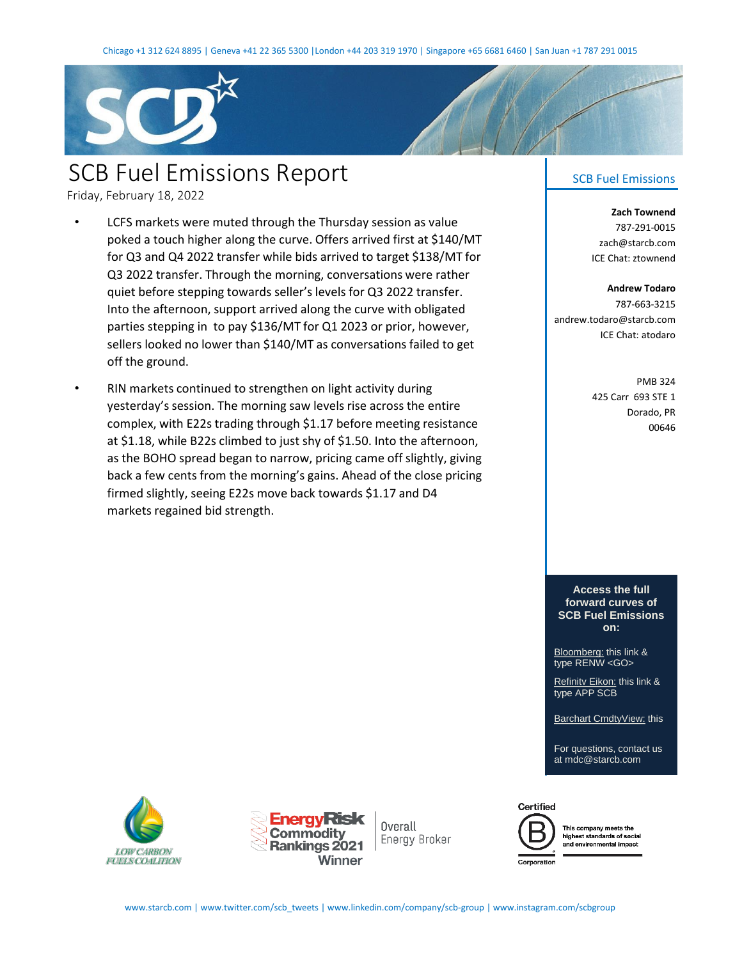

## SCB Fuel Emissions Report

Friday, February 18, 2022

- LCFS markets were muted through the Thursday session as value poked a touch higher along the curve. Offers arrived first at \$140/MT for Q3 and Q4 2022 transfer while bids arrived to target \$138/MT for Q3 2022 transfer. Through the morning, conversations were rather quiet before stepping towards seller's levels for Q3 2022 transfer. Into the afternoon, support arrived along the curve with obligated parties stepping in to pay \$136/MT for Q1 2023 or prior, however, sellers looked no lower than \$140/MT as conversations failed to get off the ground.
- RIN markets continued to strengthen on light activity during yesterday's session. The morning saw levels rise across the entire complex, with E22s trading through \$1.17 before meeting resistance at \$1.18, while B22s climbed to just shy of \$1.50. Into the afternoon, as the BOHO spread began to narrow, pricing came off slightly, giving back a few cents from the morning's gains. Ahead of the close pricing firmed slightly, seeing E22s move back towards \$1.17 and D4 markets regained bid strength.

## SCB Fuel Emissions

**Zach Townend** 787-291-0015 zach@starcb.com ICE Chat: ztownend

## **Andrew Todaro** 787-663-3215 andrew.todaro@starcb.com ICE Chat: atodaro

PMB 324 425 Carr 693 STE 1 Dorado, PR 00646

**Access the full forward curves of [SCB Fuel Emissions](https://bloom.bg/3cxqnKP)  on:**

Bloomberg: this link & type RENW <GO>

Refinitv Eikon: this link & [type APP SCB](https://go.refinitiv.com/?u=Y3B1cmw6Ly9hcHBzLmNwLi9jbXMvP3BhZ2VJZD1zY2Itb3ZlcnZpZXctbw==)

[Barchart CmdtyView:](https://www.barchart.com/cmdty/data/pricing-network/scb) this

[For questions, contact us](https://www.barchart.com/cmdty/data/pricing-network/scb)  at mdc@starcb.com





Overall Energy Broker



This company meets the highest standards of social and environmental impact

Corporation